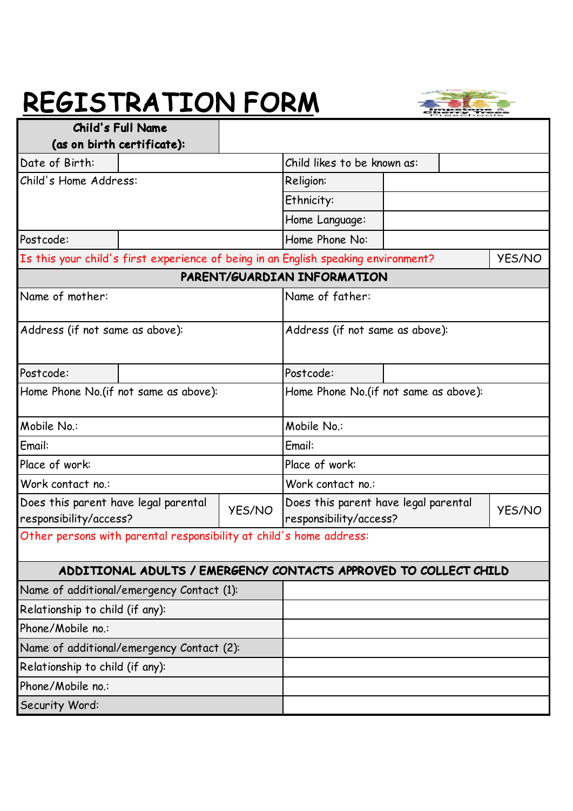## REGISTRATION FORM



|                                                                                    | <b>Child's Full Name</b>   |                                                                                 |                                                                  |  |               |
|------------------------------------------------------------------------------------|----------------------------|---------------------------------------------------------------------------------|------------------------------------------------------------------|--|---------------|
|                                                                                    | (as on birth certificate): |                                                                                 |                                                                  |  |               |
| Date of Birth:                                                                     |                            |                                                                                 | Child likes to be known as:                                      |  |               |
| Child's Home Address:                                                              |                            | Religion:                                                                       |                                                                  |  |               |
|                                                                                    |                            |                                                                                 | Ethnicity:                                                       |  |               |
|                                                                                    |                            | Home Language:                                                                  |                                                                  |  |               |
| Postcode:                                                                          |                            | Home Phone No:                                                                  |                                                                  |  |               |
| Is this your child's first experience of being in an English speaking environment? |                            |                                                                                 |                                                                  |  | <b>YES/NO</b> |
|                                                                                    |                            |                                                                                 | PARENT/GUARDIAN INFORMATION                                      |  |               |
| Name of mother:                                                                    |                            | Name of father:                                                                 |                                                                  |  |               |
| Address (if not same as above):                                                    |                            | Address (if not same as above):                                                 |                                                                  |  |               |
| Postcode:                                                                          |                            |                                                                                 | Postcode:                                                        |  |               |
| Home Phone No. (if not same as above):                                             |                            | Home Phone No.(if not same as above):                                           |                                                                  |  |               |
| Mobile No.:                                                                        |                            | Mobile No.:                                                                     |                                                                  |  |               |
| Email:                                                                             |                            | Email:                                                                          |                                                                  |  |               |
| Place of work:                                                                     |                            |                                                                                 | Place of work:                                                   |  |               |
| Work contact no.:                                                                  |                            |                                                                                 | Work contact no.:                                                |  |               |
| Does this parent have legal parental<br><b>YES/NO</b><br>responsibility/access?    |                            | Does this parent have legal parental<br><b>YES/NO</b><br>responsibility/access? |                                                                  |  |               |
| Other persons with parental responsibility at child's home address:                |                            |                                                                                 |                                                                  |  |               |
|                                                                                    |                            |                                                                                 | ADDITIONAL ADULTS / EMERGENCY CONTACTS APPROVED TO COLLECT CHILD |  |               |
| Name of additional/emergency Contact (1):                                          |                            |                                                                                 |                                                                  |  |               |
| Relationship to child (if any):                                                    |                            |                                                                                 |                                                                  |  |               |
| Phone/Mobile no.:                                                                  |                            |                                                                                 |                                                                  |  |               |
| Name of additional/emergency Contact (2):                                          |                            |                                                                                 |                                                                  |  |               |
| Relationship to child (if any):                                                    |                            |                                                                                 |                                                                  |  |               |
| Phone/Mobile no.:                                                                  |                            |                                                                                 |                                                                  |  |               |
| Security Word:                                                                     |                            |                                                                                 |                                                                  |  |               |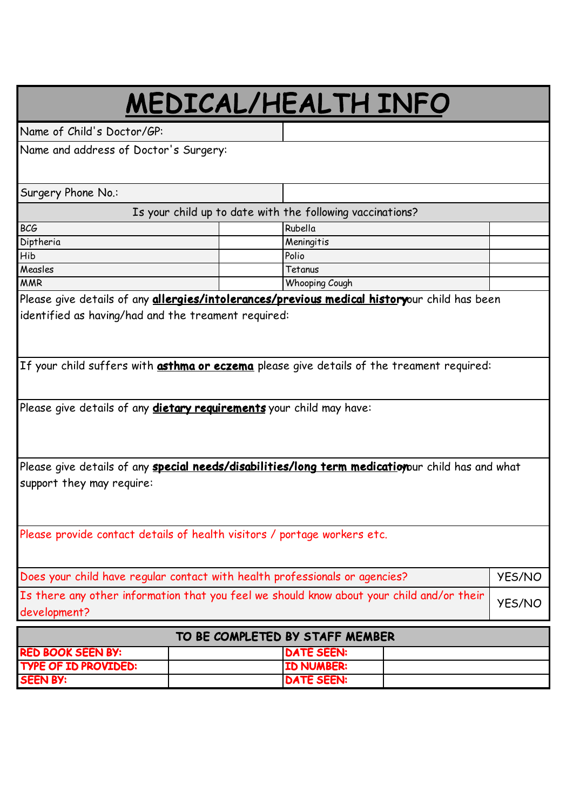# MEDICAL/HEALTH INFO

Name of Child's Doctor/GP:

Name and address of Doctor's Surgery:

Surgery Phone No.:

Is your child up to date with the following vaccinations?

| <b>BCG</b> | Rubella               |  |
|------------|-----------------------|--|
| Diptheria  | Meningitis            |  |
| <b>Hib</b> | Polio                 |  |
| Measles    | Tetanus               |  |
| <b>MMR</b> | <b>Whooping Cough</b> |  |

Please give details of any **allergies/intolerances/previous medical history**our child has been identified as having/had and the treament required:

If your child suffers with **asthma or eczema** please give details of the treament required:

Please give details of any **dietary requirements** your child may have:

Please give details of any **special needs/disabilities/long term medicatioy**our child has and what support they may require:

Please provide contact details of health visitors / portage workers etc.

| Does your child have regular contact with health professionals or agencies?                                      | <b>YES/NO</b> |
|------------------------------------------------------------------------------------------------------------------|---------------|
| Is there any other information that you feel we should know about your child and/or their yES/NO<br>development? |               |

| TO BE COMPLETED BY STAFF MEMBER |                   |  |
|---------------------------------|-------------------|--|
| <b>RED BOOK SEEN BY:</b>        | <b>DATE SEEN:</b> |  |
| <b>TYPE OF ID PROVIDED:</b>     | <b>ID NUMBER:</b> |  |
| <b>SEEN BY:</b>                 | <b>DATE SEEN:</b> |  |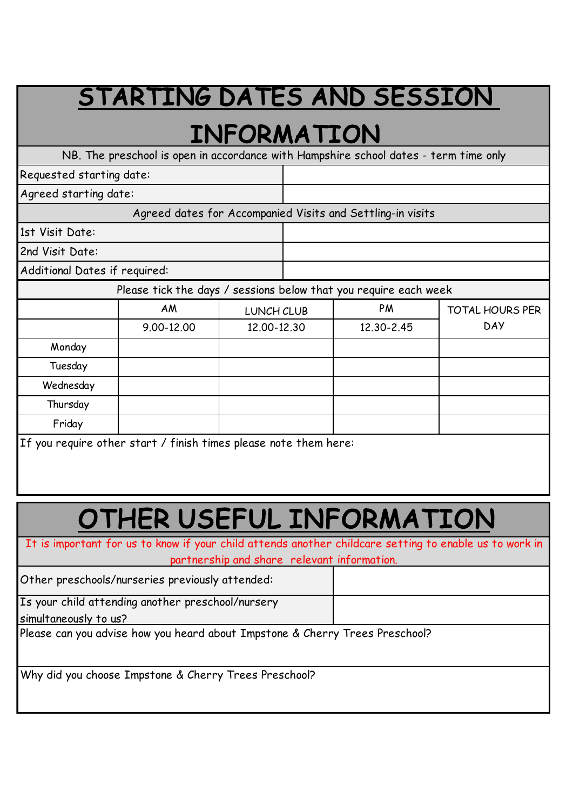### STARTING DATES AND SESSION

### INFORMATION

NB. The preschool is open in accordance with Hampshire school dates - term time only

Requested starting date:

Agreed starting date:

Agreed dates for Accompanied Visits and Settling-in visits

1st Visit Date:

2nd Visit Date:

Additional Dates if required:

Please tick the days / sessions below that you require each week

|           | AM         | LUNCH CLUB  | PM         | <b>TOTAL HOURS PER</b> |
|-----------|------------|-------------|------------|------------------------|
|           | 9.00-12.00 | 12.00-12.30 | 12.30-2.45 | <b>DAY</b>             |
| Monday    |            |             |            |                        |
| Tuesday   |            |             |            |                        |
| Wednesday |            |             |            |                        |
| Thursday  |            |             |            |                        |
| Friday    |            |             |            |                        |
|           |            |             |            |                        |

If you require other start / finish times please note them here:

## OTHER USEFUL INFORMATION

It is important for us to know if your child attends another childcare setting to enable us to work in partnership and share relevant information.

Other preschools/nurseries previously attended:

Is your child attending another preschool/nursery

simultaneously to us?

Please can you advise how you heard about Impstone & Cherry Trees Preschool?

Why did you choose Impstone & Cherry Trees Preschool?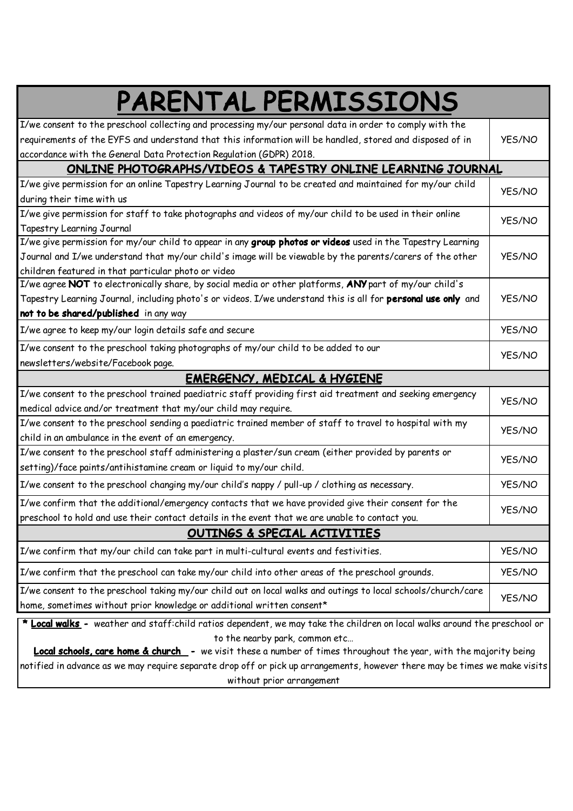| PARENTAL PERMISSIONS                                                                                                      |               |  |  |
|---------------------------------------------------------------------------------------------------------------------------|---------------|--|--|
| I/we consent to the preschool collecting and processing my/our personal data in order to comply with the                  |               |  |  |
| requirements of the EYFS and understand that this information will be handled, stored and disposed of in                  | <b>YES/NO</b> |  |  |
| accordance with the General Data Protection Regulation (GDPR) 2018.                                                       |               |  |  |
| ONLINE PHOTOGRAPHS/VIDEOS & TAPESTRY ONLINE LEARNING JOURNAL                                                              |               |  |  |
| I/we give permission for an online Tapestry Learning Journal to be created and maintained for my/our child                | <b>YES/NO</b> |  |  |
| during their time with us                                                                                                 |               |  |  |
| I/we give permission for staff to take photographs and videos of my/our child to be used in their online                  | <b>YES/NO</b> |  |  |
| Tapestry Learning Journal                                                                                                 |               |  |  |
| I/we give permission for my/our child to appear in any group photos or videos used in the Tapestry Learning               |               |  |  |
| Journal and I/we understand that my/our child's image will be viewable by the parents/carers of the other                 | <b>YES/NO</b> |  |  |
| children featured in that particular photo or video                                                                       |               |  |  |
| I/we agree NOT to electronically share, by social media or other platforms, ANY part of my/our child's                    |               |  |  |
| Tapestry Learning Journal, including photo's or videos. I/we understand this is all for personal use only and             | <b>YES/NO</b> |  |  |
| not to be shared/published in any way                                                                                     |               |  |  |
| I/we agree to keep my/our login details safe and secure                                                                   | <b>YES/NO</b> |  |  |
| I/we consent to the preschool taking photographs of my/our child to be added to our                                       | <b>YES/NO</b> |  |  |
| newsletters/website/Facebook page.                                                                                        |               |  |  |
| <b>EMERGENCY, MEDICAL &amp; HYGIENE</b>                                                                                   |               |  |  |
| I/we consent to the preschool trained paediatric staff providing first aid treatment and seeking emergency                | <b>YES/NO</b> |  |  |
| medical advice and/or treatment that my/our child may require.                                                            |               |  |  |
| I/we consent to the preschool sending a paediatric trained member of staff to travel to hospital with my                  | <b>YES/NO</b> |  |  |
| child in an ambulance in the event of an emergency.                                                                       |               |  |  |
| I/we consent to the preschool staff administering a plaster/sun cream (either provided by parents or                      | <b>YES/NO</b> |  |  |
| setting)/face paints/antihistamine cream or liquid to my/our child.                                                       |               |  |  |
| I/we consent to the preschool changing my/our child's nappy / pull-up / clothing as necessary.                            | <b>YES/NO</b> |  |  |
| I/we confirm that the additional/emergency contacts that we have provided give their consent for the                      | <b>YES/NO</b> |  |  |
| preschool to hold and use their contact details in the event that we are unable to contact you.                           |               |  |  |
| OUTINGS & SPECIAL ACTIVITIES                                                                                              |               |  |  |
| I/we confirm that my/our child can take part in multi-cultural events and festivities.                                    | <b>YES/NO</b> |  |  |
| I/we confirm that the preschool can take my/our child into other areas of the preschool grounds.                          | YES/NO        |  |  |
| I/we consent to the preschool taking my/our child out on local walks and outings to local schools/church/care             | <b>YES/NO</b> |  |  |
| home, sometimes without prior knowledge or additional written consent*                                                    |               |  |  |
| * Local walks - weather and staff:child ratios dependent, we may take the children on local walks around the preschool or |               |  |  |
| to the nearby park, common etc                                                                                            |               |  |  |

Local schools, care home & church - we visit these a number of times throughout the year, with the majority being notified in advance as we may require separate drop off or pick up arrangements, however there may be times we make visits without prior arrangement